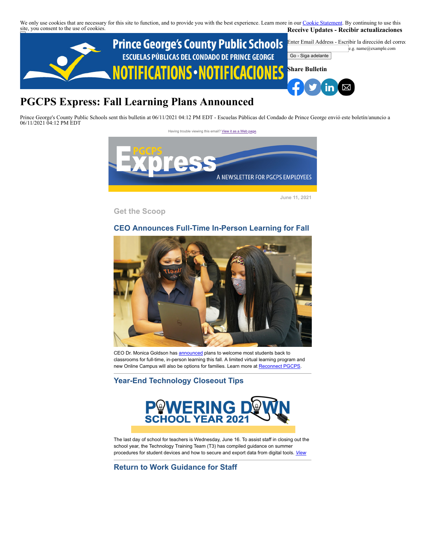We only use cookies that are necessary for this site to function, and to provide you with the best experience. Learn more in our [Cookie Statement.](https://subscriberhelp.granicus.com/s/article/Cookies) By continuing to use this site, you consent to the use of cookies. **Receive Updates - Recibir actualizaciones**



# **PGCPS Express: Fall Learning Plans Announced**

Prince George's County Public Schools sent this bulletin at 06/11/2021 04:12 PM EDT - Escuelas Públicas del Condado de Prince George envió este boletín/anuncio a 06/11/2021 04:12 PM EDT



**June 11, 2021**

**Get the Scoop**

# **CEO Announces Full-Time In-Person Learning for Fall**



CEO Dr. Monica Goldson has **[announced](https://lnks.gd/l/eyJhbGciOiJIUzI1NiJ9.eyJidWxsZXRpbl9saW5rX2lkIjoxMDEsInVyaSI6ImJwMjpjbGljayIsImJ1bGxldGluX2lkIjoiMjAyMTA2MDguNDE2MzAxNTEiLCJ1cmwiOiJodHRwczovL3d3dy55b3V0dWJlLmNvbS93YXRjaD92PS03SXJDRTI4b0pNIn0.ahFiKm-eZfsElKPUsgkEqsxFHbN8fTdNA6tCuQkF_QM/s/55562817/br/107587296624-l)** plans to welcome most students back to classrooms for full-time, in-person learning this fall. A limited virtual learning program and new Online Campus will also be options for families. Learn more at **Reconnect PGCPS**.

# **Year-End Technology Closeout Tips**



The last day of school for teachers is Wednesday, June 16. To assist staff in closing out the school year, the Technology Training Team (T3) has compiled guidance on summer procedures for student devices and how to secure and export data from digital tools. *[View](https://docs.google.com/document/d/1qWmpZMhveaPVvhAQcdjQmWXYuK3omrpOSaOZlyxAhBo/edit)*

**Return to Work Guidance for Staff**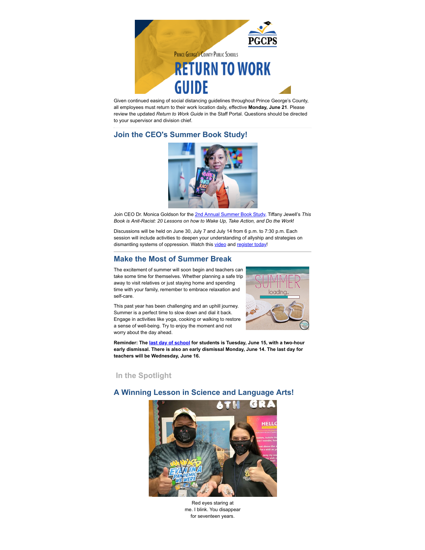

Given continued easing of social distancing guidelines throughout Prince George's County, all employees must return to their work location daily, effective **Monday, June 21**. Please review the updated *Return to Work Guide* in the Staff Portal. Questions should be directed to your supervisor and division chief.

# **Join the CEO's Summer Book Study!**



Join CEO Dr. Monica Goldson for the [2nd Annual Summer Book Study,](https://drive.google.com/file/d/1QZSueLXb0nZ_cTRjZkO7sLR01hZMkEk3/view) Tiffany Jewell's *This Book is Anit-Racist: 20 Lessons on how to Wake Up, Take Action, and Do the Work*!

Discussions will be held on June 30, July 7 and July 14 from 6 p.m. to 7:30 p.m. Each session will include activities to deepen your understanding of allyship and strategies on dismantling systems of oppression. Watch this [video](https://drive.google.com/file/d/1QZSueLXb0nZ_cTRjZkO7sLR01hZMkEk3/view) and [register today!](https://docs.google.com/forms/d/e/1FAIpQLSfvJ5bkngu6iYJVxQofKTqLD5kkjEreX8MNopWK81v-Wob1og/viewform)

## **Make the Most of Summer Break**

The excitement of summer will soon begin and teachers can take some time for themselves. Whether planning a safe trip away to visit relatives or just staying home and spending time with your family, remember to embrace relaxation and self-care.

This past year has been challenging and an uphill journey. Summer is a perfect time to slow down and dial it back. Engage in activities like yoga, cooking or walking to restore a sense of well-being. Try to enjoy the moment and not worry about the day ahead.



**Reminder: The last [day of school](https://lnks.gd/l/eyJhbGciOiJIUzI1NiJ9.eyJidWxsZXRpbl9saW5rX2lkIjoxMjYsInVyaSI6ImJwMjpjbGljayIsImJ1bGxldGluX2lkIjoiMjAyMTA0MzAuMzk3NTQzNDEiLCJ1cmwiOiJodHRwczovL3d3dy5wZ2Nwcy5vcmcvc2Nob29sLWNhbGVuZGFyLXByb2Nlc3MifQ.njr7xfK6QWic0ghX5hyZTjSlm4k_LHxJbpntIpT07rM/s/55562817/br/105688372550-l) for students is Tuesday, June 15, with a two-hour early dismissal. There is also an early dismissal Monday, June 14. The last day for teachers will be Wednesday, June 16.** 

 **In the Spotlight**

## **A Winning Lesson in Science and Language Arts!**



Red eyes staring at me. I blink. You disappear for seventeen years.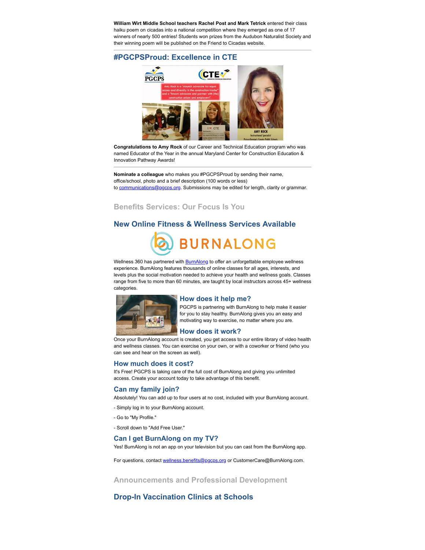**William Wirt Middle School teachers Rachel Post and Mark Tetrick** entered their class haiku poem on cicadas into a national competition where they emerged as one of 17 winners of nearly 500 entries! Students won prizes from the Audubon Naturalist Society and their winning poem will be published on the Friend to Cicadas website.

## **#PGCPSProud: Excellence in CTE**



**Congratulations to Amy Rock** of our Career and Technical Education program who was named Educator of the Year in the annual Maryland Center for Construction Education & Innovation Pathway Awards!

**Nominate a colleague** who makes you #PGCPSProud by sending their name, office/school, photo and a brief description (100 words or less) to [communications@pgcps.org](mailto:communications@pgcps.org). Submissions may be edited for length, clarity or grammar.

**Benefits Services: Our Focus Is You**

#### **New Online Fitness & Wellness Services Available**



Wellness 360 has partnered with **BurnAlong** to offer an unforgettable employee wellness experience. BurnAlong features thousands of online classes for all ages, interests, and levels plus the social motivation needed to achieve your health and wellness goals. Classes range from five to more than 60 minutes, are taught by local instructors across 45+ wellness categories.



#### **How does it help me?**

PGCPS is partnering with BurnAlong to help make it easier for you to stay healthy. BurnAlong gives you an easy and motivating way to exercise, no matter where you are.

Once your BurnAlong account is created, you get access to our entire library of video health and wellness classes. You can exercise on your own, or with a coworker or friend (who you can see and hear on the screen as well).

#### **How much does it cost?**

It's Free! PGCPS is taking care of the full cost of BurnAlong and giving you unlimited access. Create your account today to take advantage of this benefit.

#### **Can my family join?**

Absolutely! You can add up to four users at no cost, included with your BurnAlong account.

- Simply log in to your BurnAlong account.
- Go to "My Profile."
- Scroll down to "Add Free User."

#### **Can I get BurnAlong on my TV?**

Yes! BurnAlong is not an app on your television but you can cast from the BurnAlong app.

For questions, contact [wellness.benefits@pgcps.org](mailto:wellness.benefits@pgcps.org) or CustomerCare@BurnAlong.com.

**Announcements and Professional Development**

## **Drop-In Vaccination Clinics at Schools**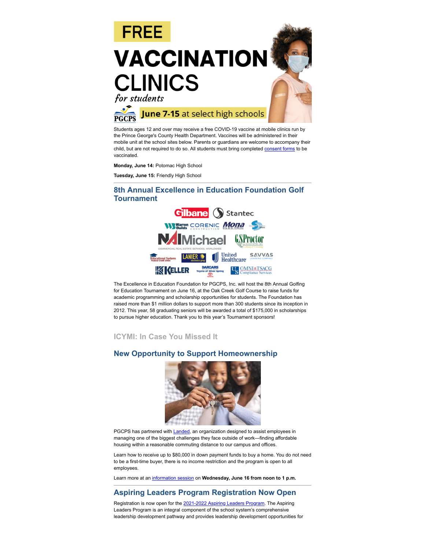

Students ages 12 and over may receive a free COVID-19 vaccine at mobile clinics run by the Prince George's County Health Department. Vaccines will be administered in their mobile unit at the school sites below. Parents or guardians are welcome to accompany their child, but are not required to do so. All students must bring completed [consent forms](https://www.pgcps.org/coronavirus/pgcps-vaccination-plan) to be vaccinated.

**Monday, June 14:** Potomac High School

**Tuesday, June 15:** Friendly High School

## **8th Annual Excellence in Education Foundation Golf Tournament**



The Excellence in Education Foundation for PGCPS, Inc. will host the 8th Annual Golfing for Education Tournament on June 16, at the Oak Creek Golf Course to raise funds for academic programming and scholarship opportunities for students. The Foundation has raised more than \$1 million dollars to support more than 300 students since its inception in 2012. This year, 58 graduating seniors will be awarded a total of \$175,000 in scholarships to pursue higher education. Thank you to this year's Tournament sponsors!

**ICYMI: In Case You Missed It**

#### **New Opportunity to Support Homeownership**



PGCPS has partnered with **[Landed](https://www.landed.com/)**, an organization designed to assist employees in managing one of the biggest challenges they face outside of work—finding affordable housing within a reasonable commuting distance to our campus and offices.

Learn how to receive up to \$80,000 in down payment funds to buy a home. You do not need to be a first-time buyer, there is no income restriction and the program is open to all employees.

Learn more at an [information session](https://www.landed.com/events/95ced431-32e5-4af8-8899-75a1dbcaab4d) on **Wednesday, June 16 from noon to 1 p.m.** 

## **Aspiring Leaders Program Registration Now Open**

Registration is now open for the [2021-2022 Aspiring Leaders Program](https://www.pgcps.org/globalassets/offices/human-resources/docs---human-resources-operation-and-staffing/professional-learning-and-leadership/aspiring-leaders-program-application-sy-21-22.pdf). The Aspiring Leaders Program is an integral component of the school system's comprehensive leadership development pathway and provides leadership development opportunities for